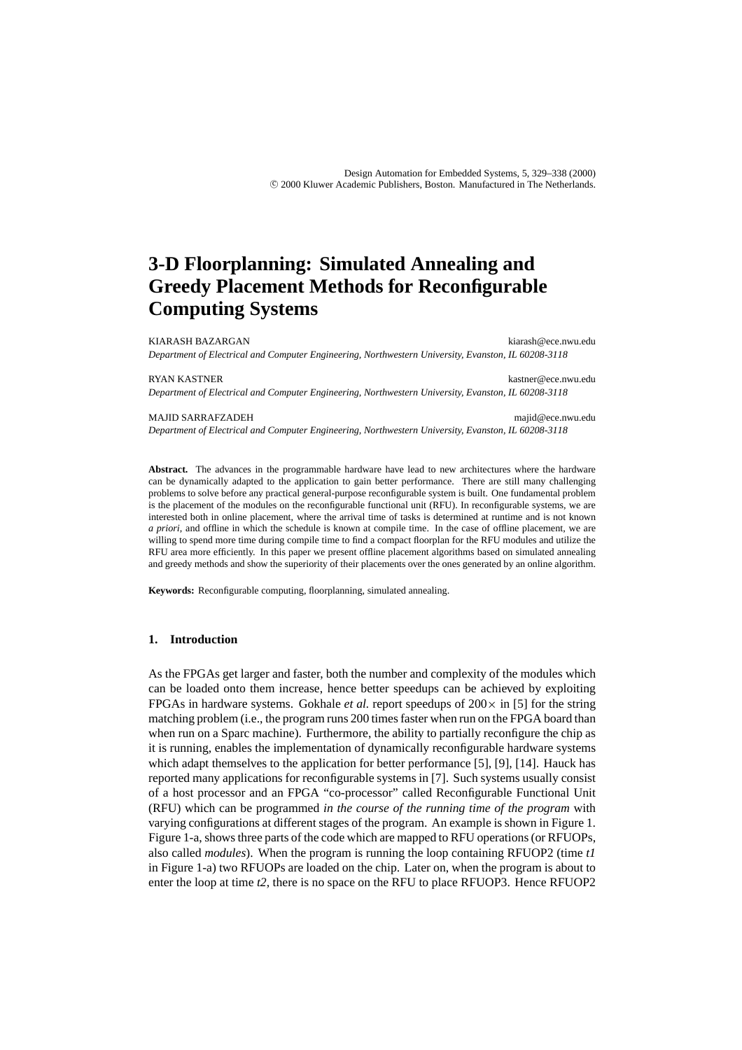# **3-D Floorplanning: Simulated Annealing and Greedy Placement Methods for Reconfigurable Computing Systems**

KIARASH BAZARGAN kiarash asl a kisiya ku shekarash a kisiya ku shekarash a kisiya kisiya kisiya kisiya kisiya k *Department of Electrical and Computer Engineering, Northwestern University, Evanston, IL 60208-3118* RYAN KASTNER kastner@ece.nwu.edu *Department of Electrical and Computer Engineering, Northwestern University, Evanston, IL 60208-3118*

#### MAJID SARRAFZADEH majid@ece.nwu.edu

*Department of Electrical and Computer Engineering, Northwestern University, Evanston, IL 60208-3118*

**Abstract.** The advances in the programmable hardware have lead to new architectures where the hardware can be dynamically adapted to the application to gain better performance. There are still many challenging problems to solve before any practical general-purpose reconfigurable system is built. One fundamental problem is the placement of the modules on the reconfigurable functional unit (RFU). In reconfigurable systems, we are interested both in online placement, where the arrival time of tasks is determined at runtime and is not known *a priori*, and offline in which the schedule is known at compile time. In the case of offline placement, we are willing to spend more time during compile time to find a compact floorplan for the RFU modules and utilize the RFU area more efficiently. In this paper we present offline placement algorithms based on simulated annealing and greedy methods and show the superiority of their placements over the ones generated by an online algorithm.

**Keywords:** Reconfigurable computing, floorplanning, simulated annealing.

#### **1. Introduction**

As the FPGAs get larger and faster, both the number and complexity of the modules which can be loaded onto them increase, hence better speedups can be achieved by exploiting FPGAs in hardware systems. Gokhale *et al.* report speedups of  $200 \times$  in [5] for the string matching problem (i.e., the program runs 200 times faster when run on the FPGA board than when run on a Sparc machine). Furthermore, the ability to partially reconfigure the chip as it is running, enables the implementation of dynamically reconfigurable hardware systems which adapt themselves to the application for better performance [5], [9], [14]. Hauck has reported many applications for reconfigurable systems in [7]. Such systems usually consist of a host processor and an FPGA "co-processor" called Reconfigurable Functional Unit (RFU) which can be programmed *in the course of the running time of the program* with varying configurations at different stages of the program. An example is shown in Figure 1. Figure 1-a, shows three parts of the code which are mapped to RFU operations (or RFUOPs, also called *modules*). When the program is running the loop containing RFUOP2 (time *t1* in Figure 1-a) two RFUOPs are loaded on the chip. Later on, when the program is about to enter the loop at time *t2*, there is no space on the RFU to place RFUOP3. Hence RFUOP2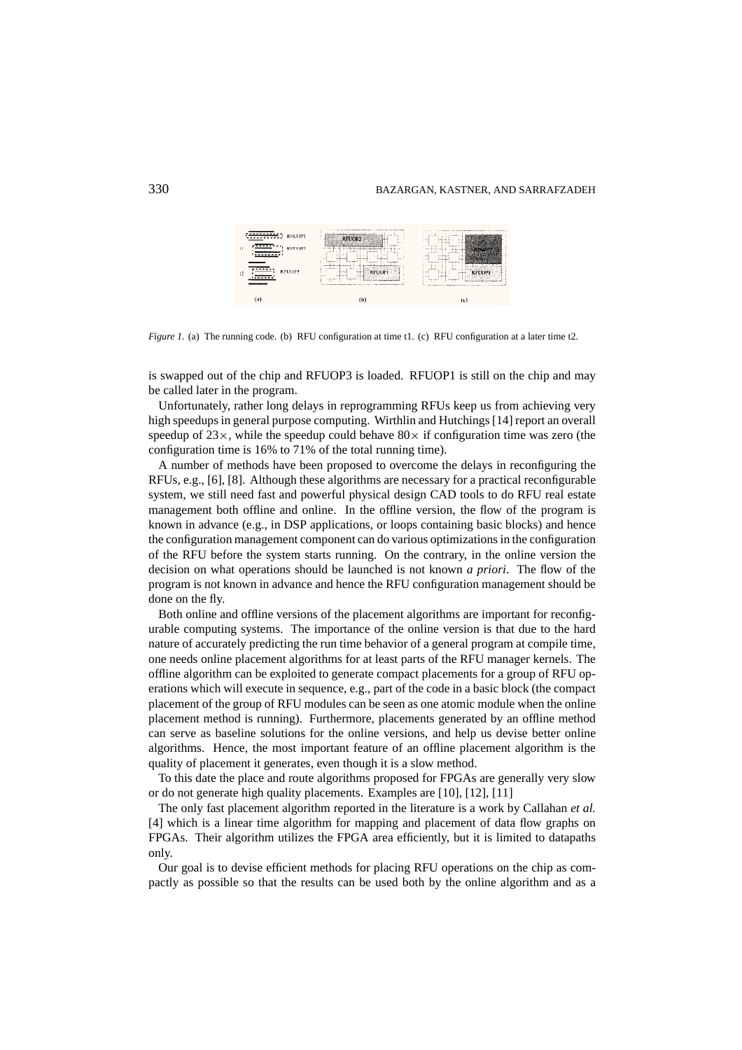

*Figure 1.* (a) The running code. (b) RFU configuration at time t1. (c) RFU configuration at a later time t2.

is swapped out of the chip and RFUOP3 is loaded. RFUOP1 is still on the chip and may be called later in the program.

Unfortunately, rather long delays in reprogramming RFUs keep us from achieving very high speedups in general purpose computing. Wirthlin and Hutchings [14] report an overall speedup of  $23\times$ , while the speedup could behave  $80\times$  if configuration time was zero (the configuration time is 16% to 71% of the total running time).

A number of methods have been proposed to overcome the delays in reconfiguring the RFUs, e.g., [6], [8]. Although these algorithms are necessary for a practical reconfigurable system, we still need fast and powerful physical design CAD tools to do RFU real estate management both offline and online. In the offline version, the flow of the program is known in advance (e.g., in DSP applications, or loops containing basic blocks) and hence the configuration management component can do various optimizations in the configuration of the RFU before the system starts running. On the contrary, in the online version the decision on what operations should be launched is not known *a priori*. The flow of the program is not known in advance and hence the RFU configuration management should be done on the fly.

Both online and offline versions of the placement algorithms are important for reconfigurable computing systems. The importance of the online version is that due to the hard nature of accurately predicting the run time behavior of a general program at compile time, one needs online placement algorithms for at least parts of the RFU manager kernels. The offline algorithm can be exploited to generate compact placements for a group of RFU operations which will execute in sequence, e.g., part of the code in a basic block (the compact placement of the group of RFU modules can be seen as one atomic module when the online placement method is running). Furthermore, placements generated by an offline method can serve as baseline solutions for the online versions, and help us devise better online algorithms. Hence, the most important feature of an offline placement algorithm is the quality of placement it generates, even though it is a slow method.

To this date the place and route algorithms proposed for FPGAs are generally very slow or do not generate high quality placements. Examples are [10], [12], [11]

The only fast placement algorithm reported in the literature is a work by Callahan *et al.* [4] which is a linear time algorithm for mapping and placement of data flow graphs on FPGAs. Their algorithm utilizes the FPGA area efficiently, but it is limited to datapaths only.

Our goal is to devise efficient methods for placing RFU operations on the chip as compactly as possible so that the results can be used both by the online algorithm and as a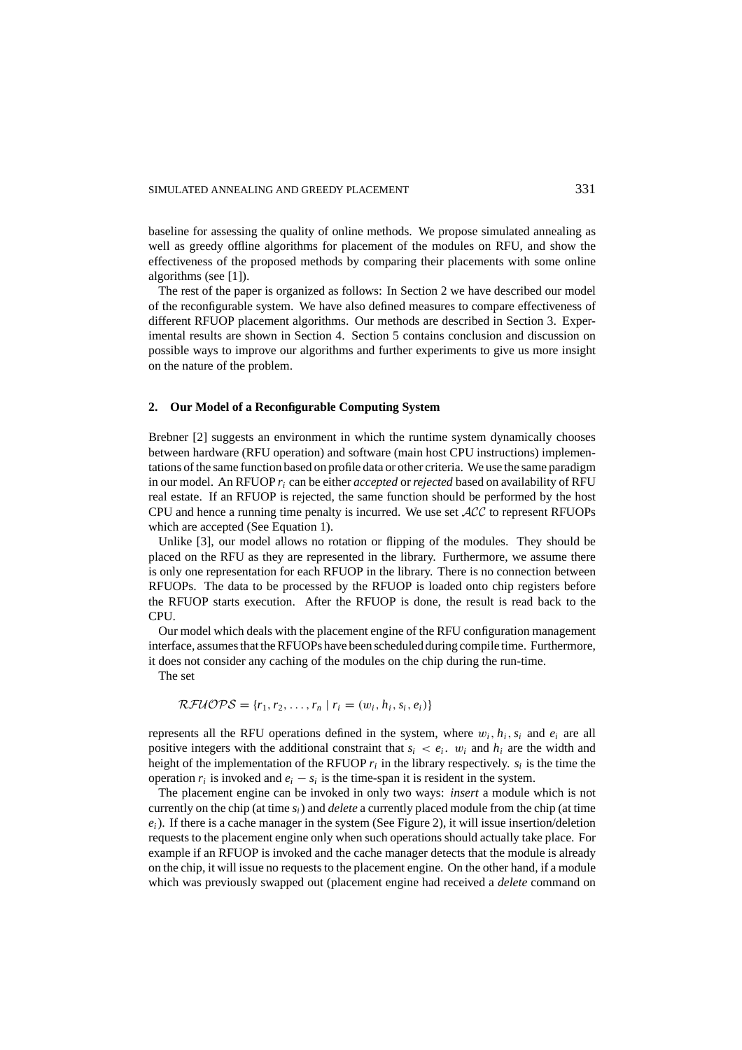baseline for assessing the quality of online methods. We propose simulated annealing as well as greedy offline algorithms for placement of the modules on RFU, and show the effectiveness of the proposed methods by comparing their placements with some online algorithms (see [1]).

The rest of the paper is organized as follows: In Section 2 we have described our model of the reconfigurable system. We have also defined measures to compare effectiveness of different RFUOP placement algorithms. Our methods are described in Section 3. Experimental results are shown in Section 4. Section 5 contains conclusion and discussion on possible ways to improve our algorithms and further experiments to give us more insight on the nature of the problem.

### **2. Our Model of a Reconfigurable Computing System**

Brebner [2] suggests an environment in which the runtime system dynamically chooses between hardware (RFU operation) and software (main host CPU instructions) implementations of the same function based on profile data or other criteria. We use the same paradigm in our model. An RFUOP *ri* can be either *accepted* or*rejected* based on availability of RFU real estate. If an RFUOP is rejected, the same function should be performed by the host CPU and hence a running time penalty is incurred. We use set  $ACC$  to represent RFUOPs which are accepted (See Equation 1).

Unlike [3], our model allows no rotation or flipping of the modules. They should be placed on the RFU as they are represented in the library. Furthermore, we assume there is only one representation for each RFUOP in the library. There is no connection between RFUOPs. The data to be processed by the RFUOP is loaded onto chip registers before the RFUOP starts execution. After the RFUOP is done, the result is read back to the CPU.

Our model which deals with the placement engine of the RFU configuration management interface, assumes that the RFUOPs have been scheduled during compile time. Furthermore, it does not consider any caching of the modules on the chip during the run-time.

The set

$$
\mathcal{RFUOPS} = \{r_1, r_2, \ldots, r_n \mid r_i = (w_i, h_i, s_i, e_i)\}
$$

represents all the RFU operations defined in the system, where  $w_i$ ,  $h_i$ ,  $s_i$  and  $e_i$  are all positive integers with the additional constraint that  $s_i < e_i$ .  $w_i$  and  $h_i$  are the width and height of the implementation of the RFUOP  $r_i$  in the library respectively.  $s_i$  is the time the operation  $r_i$  is invoked and  $e_i - s_i$  is the time-span it is resident in the system.

The placement engine can be invoked in only two ways: *insert* a module which is not currently on the chip (at time *si*) and *delete* a currently placed module from the chip (at time  $e_i$ ). If there is a cache manager in the system (See Figure 2), it will issue insertion/deletion requests to the placement engine only when such operations should actually take place. For example if an RFUOP is invoked and the cache manager detects that the module is already on the chip, it will issue no requests to the placement engine. On the other hand, if a module which was previously swapped out (placement engine had received a *delete* command on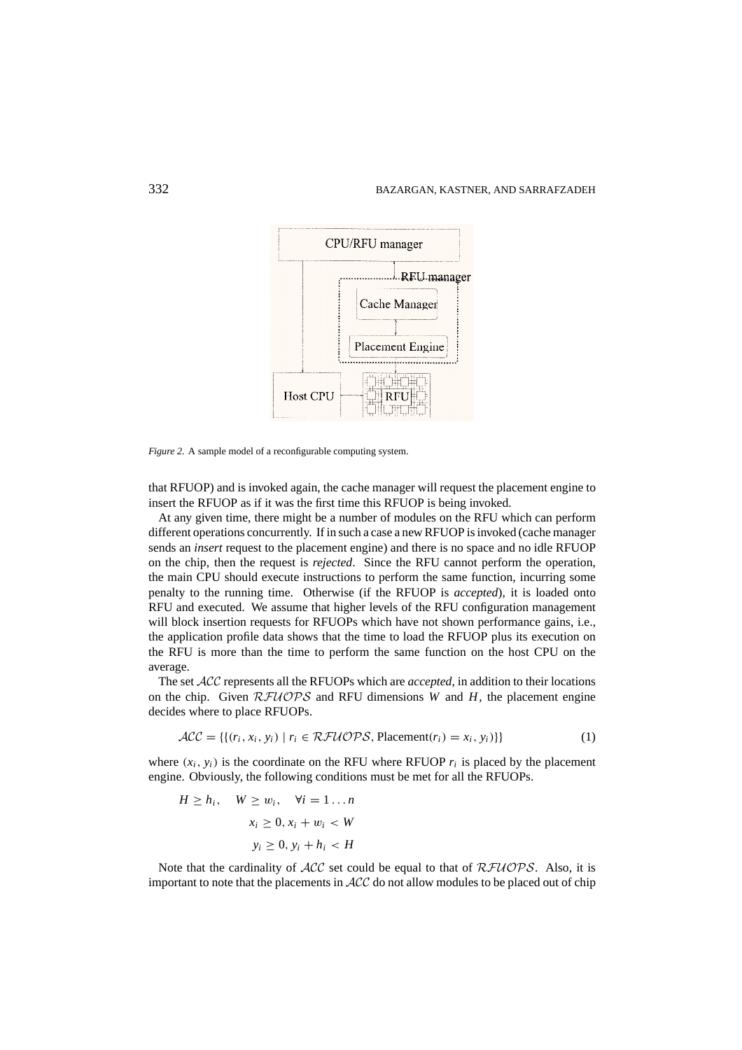

*Figure 2.* A sample model of a reconfigurable computing system.

that RFUOP) and is invoked again, the cache manager will request the placement engine to insert the RFUOP as if it was the first time this RFUOP is being invoked.

At any given time, there might be a number of modules on the RFU which can perform different operations concurrently. If in such a case a new RFUOP is invoked (cache manager sends an *insert* request to the placement engine) and there is no space and no idle RFUOP on the chip, then the request is *rejected*. Since the RFU cannot perform the operation, the main CPU should execute instructions to perform the same function, incurring some penalty to the running time. Otherwise (if the RFUOP is *accepted*), it is loaded onto RFU and executed. We assume that higher levels of the RFU configuration management will block insertion requests for RFUOPs which have not shown performance gains, i.e., the application profile data shows that the time to load the RFUOP plus its execution on the RFU is more than the time to perform the same function on the host CPU on the average.

The set ACC represents all the RFUOPs which are *accepted*, in addition to their locations on the chip. Given  $RFIUOPS$  and RFU dimensions *W* and *H*, the placement engine decides where to place RFUOPs.

$$
\mathcal{ACC} = \{ \{ (r_i, x_i, y_i) \mid r_i \in \mathcal{RFUOPS}, \text{Placement}(r_i) = x_i, y_i) \} \}
$$
(1)

where  $(x_i, y_i)$  is the coordinate on the RFU where RFUOP  $r_i$  is placed by the placement engine. Obviously, the following conditions must be met for all the RFUOPs.

$$
H \ge h_i, \quad W \ge w_i, \quad \forall i = 1 \dots n
$$

$$
x_i \ge 0, x_i + w_i < W
$$

$$
y_i \ge 0, y_i + h_i < H
$$

Note that the cardinality of ACC set could be equal to that of  $RFIUOPS$ . Also, it is important to note that the placements in  $ACC$  do not allow modules to be placed out of chip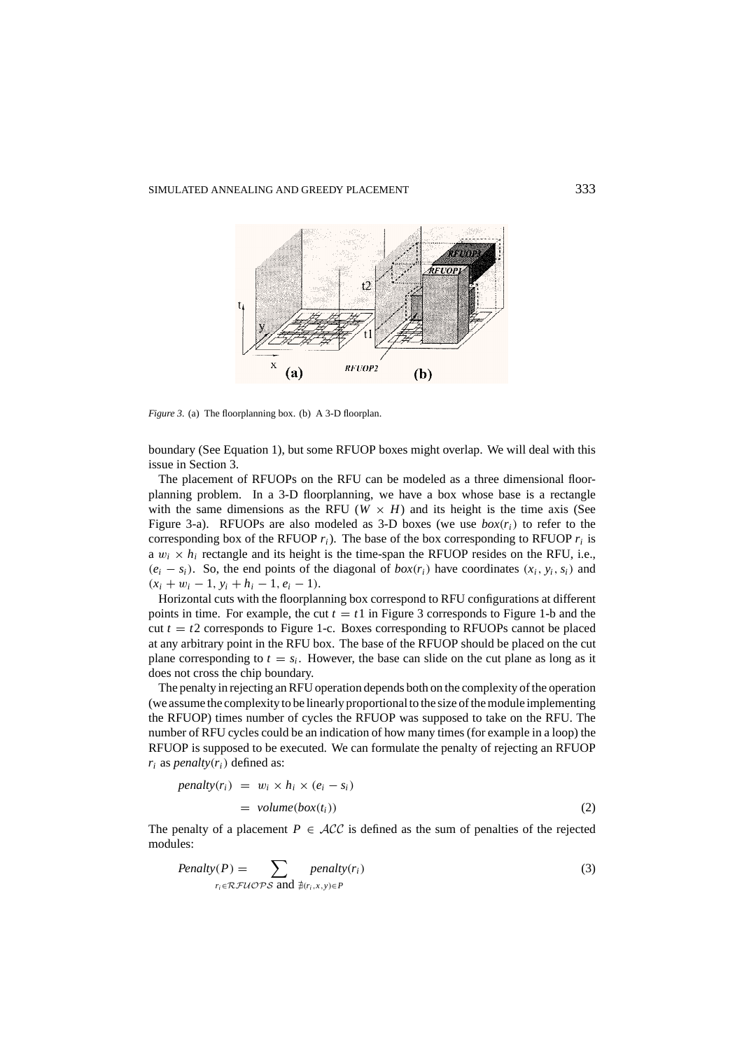

*Figure 3.* (a) The floorplanning box. (b) A 3-D floorplan.

boundary (See Equation 1), but some RFUOP boxes might overlap. We will deal with this issue in Section 3.

The placement of RFUOPs on the RFU can be modeled as a three dimensional floorplanning problem. In a 3-D floorplanning, we have a box whose base is a rectangle with the same dimensions as the RFU ( $W \times H$ ) and its height is the time axis (See Figure 3-a). RFUOPs are also modeled as 3-D boxes (we use  $box(r_i)$  to refer to the corresponding box of the RFUOP  $r_i$ ). The base of the box corresponding to RFUOP  $r_i$  is a  $w_i \times h_i$  rectangle and its height is the time-span the RFUOP resides on the RFU, i.e.,  $(e_i - s_i)$ . So, the end points of the diagonal of  $box(r_i)$  have coordinates  $(x_i, y_i, s_i)$  and  $(x_i + w_i - 1, y_i + h_i - 1, e_i - 1).$ 

Horizontal cuts with the floorplanning box correspond to RFU configurations at different points in time. For example, the cut  $t = t1$  in Figure 3 corresponds to Figure 1-b and the cut  $t = t$ 2 corresponds to Figure 1-c. Boxes corresponding to RFUOPs cannot be placed at any arbitrary point in the RFU box. The base of the RFUOP should be placed on the cut plane corresponding to  $t = s_i$ . However, the base can slide on the cut plane as long as it does not cross the chip boundary.

The penalty in rejecting an RFU operation depends both on the complexity of the operation (we assume the complexity to be linearly proportional to the size of the module implementing the RFUOP) times number of cycles the RFUOP was supposed to take on the RFU. The number of RFU cycles could be an indication of how many times (for example in a loop) the RFUOP is supposed to be executed. We can formulate the penalty of rejecting an RFUOP  $r_i$  as *penalty* $(r_i)$  defined as:

$$
penalty(r_i) = w_i \times h_i \times (e_i - s_i)
$$
  
= 
$$
volume(box(t_i))
$$
 (2)

The penalty of a placement  $P \in \mathcal{ACC}$  is defined as the sum of penalties of the rejected modules:

$$
Penalty(P) = \sum_{r_i \in \mathcal{RFU} \cup \mathcal{PS} \text{ and } \nexists (r_i, x, y) \in P} \npendity(r_i)
$$
\n<sup>(3)</sup>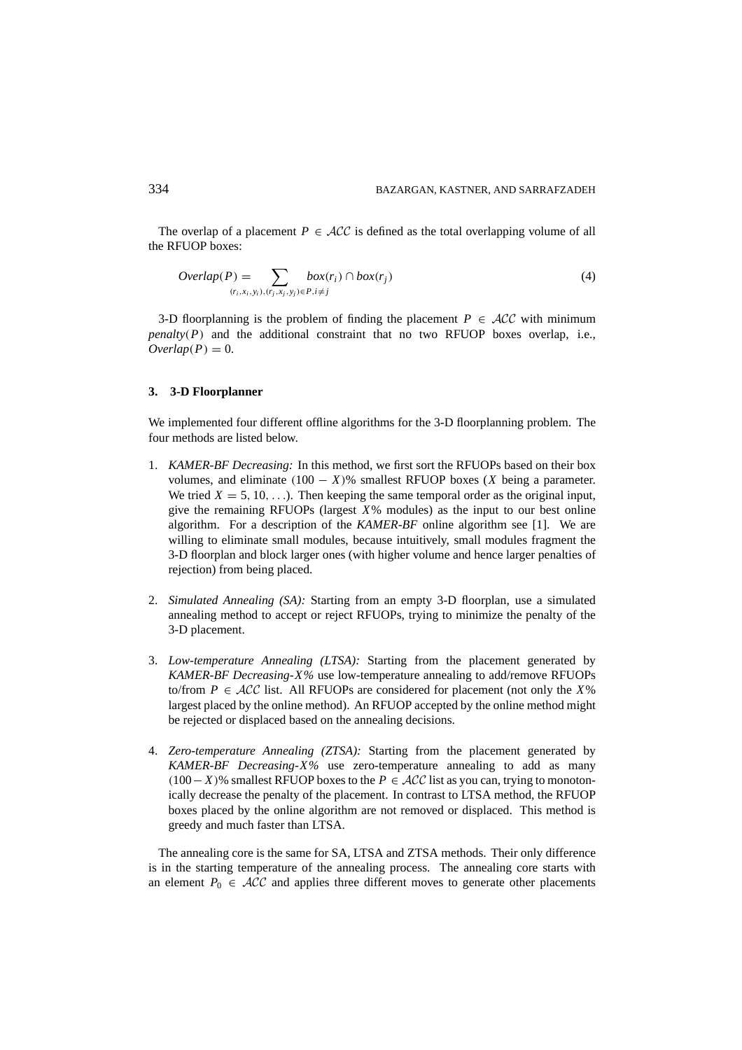The overlap of a placement  $P \in \mathcal{ACC}$  is defined as the total overlapping volume of all the RFUOP boxes:

$$
Overallap(P) = \sum_{(r_i, x_i, y_i), (r_j, x_j, y_j) \in P, i \neq j} box(r_i) \cap box(r_j)
$$
\n
$$
(4)
$$

3-D floorplanning is the problem of finding the placement  $P \in \text{ACC}$  with minimum  $penalty(P)$  and the additional constraint that no two RFUOP boxes overlap, i.e.,  $\text{Overlap}(P) = 0.$ 

#### **3. 3-D Floorplanner**

We implemented four different offline algorithms for the 3-D floorplanning problem. The four methods are listed below.

- 1. *KAMER-BF Decreasing:* In this method, we first sort the RFUOPs based on their box volumes, and eliminate  $(100 - X)$ % smallest RFUOP boxes (*X* being a parameter. We tried  $X = 5, 10, \ldots$ ). Then keeping the same temporal order as the original input, give the remaining RFUOPs (largest *X*% modules) as the input to our best online algorithm. For a description of the *KAMER-BF* online algorithm see [1]. We are willing to eliminate small modules, because intuitively, small modules fragment the 3-D floorplan and block larger ones (with higher volume and hence larger penalties of rejection) from being placed.
- 2. *Simulated Annealing (SA):* Starting from an empty 3-D floorplan, use a simulated annealing method to accept or reject RFUOPs, trying to minimize the penalty of the 3-D placement.
- 3. *Low-temperature Annealing (LTSA):* Starting from the placement generated by *KAMER-BF Decreasing-X%* use low-temperature annealing to add/remove RFUOPs to/from  $P \in \text{ACC}$  list. All RFUOPs are considered for placement (not only the  $X\%$ largest placed by the online method). An RFUOP accepted by the online method might be rejected or displaced based on the annealing decisions.
- 4. *Zero-temperature Annealing (ZTSA):* Starting from the placement generated by *KAMER-BF Decreasing-X%* use zero-temperature annealing to add as many (100− *X*)% smallest RFUOP boxes to the *P* ∈ ACC list as you can, trying to monotonically decrease the penalty of the placement. In contrast to LTSA method, the RFUOP boxes placed by the online algorithm are not removed or displaced. This method is greedy and much faster than LTSA.

The annealing core is the same for SA, LTSA and ZTSA methods. Their only difference is in the starting temperature of the annealing process. The annealing core starts with an element  $P_0 \in \mathcal{ACC}$  and applies three different moves to generate other placements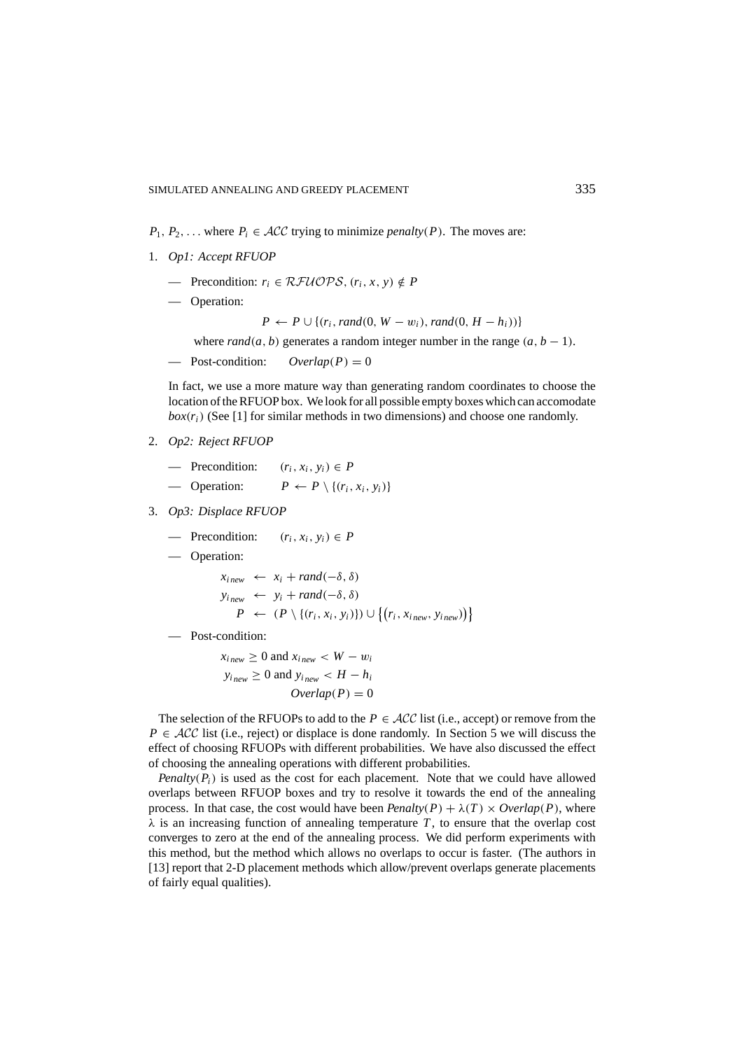*P*<sub>1</sub>, *P*<sub>2</sub>,... where *P*<sub>i</sub> ∈ *ACC* trying to minimize *penalty*(*P*). The moves are:

- 1. *Op1: Accept RFUOP*
	- Precondition:  $r_i$  ∈ R*FUOPS*,  $(r_i, x, y) \notin P$
	- Operation:

$$
P \leftarrow P \cup \{(r_i, rand(0, W - w_i), rand(0, H - h_i))\}
$$

where  $rand(a, b)$  generates a random integer number in the range  $(a, b - 1)$ .

 $\longrightarrow$  Post-condition:  $\text{Overlap}(P) = 0$ 

In fact, we use a more mature way than generating random coordinates to choose the location of the RFUOP box. We look for all possible empty boxes which can accomodate  $box(r_i)$  (See [1] for similar methods in two dimensions) and choose one randomly.

- 2. *Op2: Reject RFUOP*
	- Precondition:  $(r_i, x_i, y_i) \in P$
	- Operation:  $P \leftarrow P \setminus \{(r_i, x_i, y_i)\}$
- 3. *Op3: Displace RFUOP*
	- Precondition:  $(r_i, x_i, y_i) \in P$
	- Operation:

$$
x_{inew} \leftarrow x_i + rand(-\delta, \delta)
$$
  
\n
$$
y_{inew} \leftarrow y_i + rand(-\delta, \delta)
$$
  
\n
$$
P \leftarrow (P \setminus \{(r_i, x_i, y_i)\}) \cup \{(r_i, x_{inew}, y_{inew})\}
$$

— Post-condition:

 $x_{i} \geq 0$  and  $x_{i} \geq W - w_{i}$  $y_i_{new} \geq 0$  and  $y_i_{new} < H - h_i$  $Overlap(P) = 0$ 

The selection of the RFUOPs to add to the  $P \in \mathcal{ACC}$  list (i.e., accept) or remove from the  $P \in \mathcal{ACC}$  list (i.e., reject) or displace is done randomly. In Section 5 we will discuss the effect of choosing RFUOPs with different probabilities. We have also discussed the effect of choosing the annealing operations with different probabilities.

*Penalty*( $P_i$ ) is used as the cost for each placement. Note that we could have allowed overlaps between RFUOP boxes and try to resolve it towards the end of the annealing process. In that case, the cost would have been *Penalty*( $P$ ) +  $\lambda(T) \times Overlap(P)$ , where  $\lambda$  is an increasing function of annealing temperature *T*, to ensure that the overlap cost converges to zero at the end of the annealing process. We did perform experiments with this method, but the method which allows no overlaps to occur is faster. (The authors in [13] report that 2-D placement methods which allow/prevent overlaps generate placements of fairly equal qualities).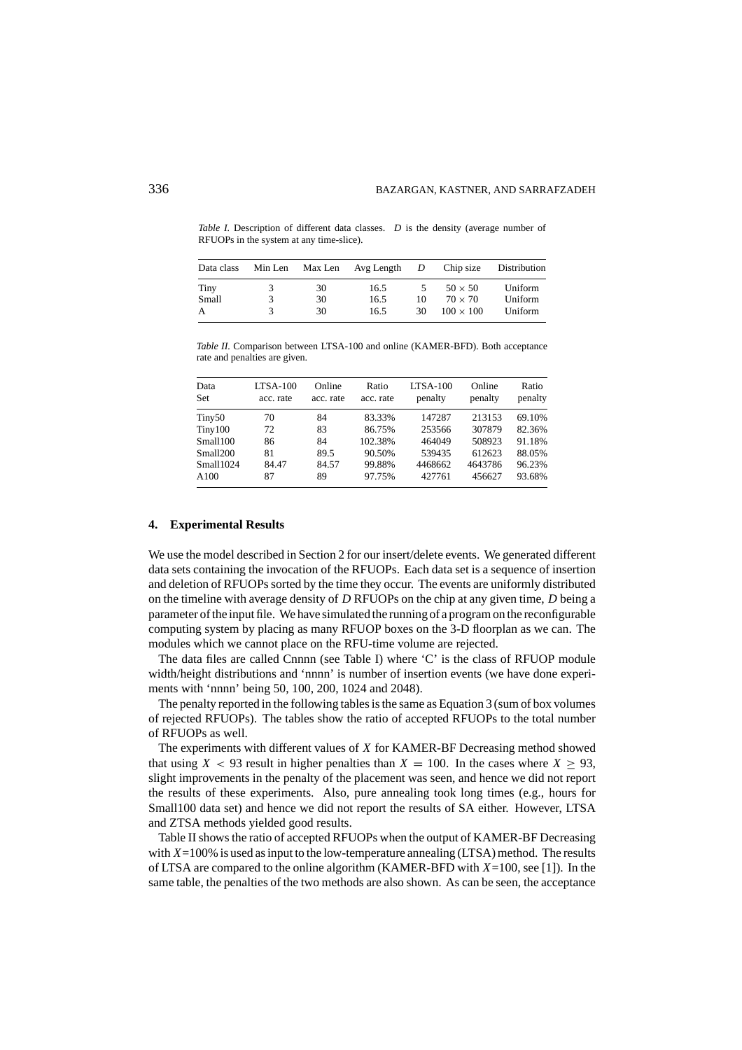| Data class | Min Len | Max Len | Avg Length $D$ |               | Chip size        | Distribution |
|------------|---------|---------|----------------|---------------|------------------|--------------|
| Tiny       |         | 30      | 16.5           | $\mathcal{D}$ | $50 \times 50$   | Uniform      |
| Small      |         | 30      | 16.5           | 10            | $70 \times 70$   | Uniform      |
| А          |         | 30      | 16.5           | 30            | $100 \times 100$ | Uniform      |

*Table I.* Description of different data classes. *D* is the density (average number of RFUOPs in the system at any time-slice).

*Table II.* Comparison between LTSA-100 and online (KAMER-BFD). Both acceptance rate and penalties are given.

| Data<br>Set        | $LTSA-100$<br>acc. rate | Online<br>acc. rate | Ratio<br>acc. rate | <b>LTSA-100</b><br>penalty | Online<br>penalty | Ratio<br>penalty |
|--------------------|-------------------------|---------------------|--------------------|----------------------------|-------------------|------------------|
| Tiny <sub>50</sub> | 70                      | 84                  | 83.33%             | 147287                     | 213153            | 69.10%           |
| Tiny100            | 72                      | 83                  | 86.75%             | 253566                     | 307879            | 82.36%           |
| Small100           | 86                      | 84                  | 102.38%            | 464049                     | 508923            | 91.18%           |
| Small200           | 81                      | 89.5                | 90.50%             | 539435                     | 612623            | 88.05%           |
| Small1024          | 84.47                   | 84.57               | 99.88%             | 4468662                    | 4643786           | 96.23%           |
| A100               | 87                      | 89                  | 97.75%             | 427761                     | 456627            | 93.68%           |

# **4. Experimental Results**

We use the model described in Section 2 for our insert/delete events. We generated different data sets containing the invocation of the RFUOPs. Each data set is a sequence of insertion and deletion of RFUOPs sorted by the time they occur. The events are uniformly distributed on the timeline with average density of *D* RFUOPs on the chip at any given time, *D* being a parameter of the input file. We have simulated the running of a program on the reconfigurable computing system by placing as many RFUOP boxes on the 3-D floorplan as we can. The modules which we cannot place on the RFU-time volume are rejected.

The data files are called Cnnnn (see Table I) where 'C' is the class of RFUOP module width/height distributions and 'nnnn' is number of insertion events (we have done experiments with 'nnnn' being 50, 100, 200, 1024 and 2048).

The penalty reported in the following tables is the same as Equation 3 (sum of box volumes of rejected RFUOPs). The tables show the ratio of accepted RFUOPs to the total number of RFUOPs as well.

The experiments with different values of *X* for KAMER-BF Decreasing method showed that using  $X < 93$  result in higher penalties than  $X = 100$ . In the cases where  $X \ge 93$ , slight improvements in the penalty of the placement was seen, and hence we did not report the results of these experiments. Also, pure annealing took long times (e.g., hours for Small100 data set) and hence we did not report the results of SA either. However, LTSA and ZTSA methods yielded good results.

Table II shows the ratio of accepted RFUOPs when the output of KAMER-BF Decreasing with *X*=100% is used as input to the low-temperature annealing (LTSA) method. The results of LTSA are compared to the online algorithm (KAMER-BFD with *X*=100, see [1]). In the same table, the penalties of the two methods are also shown. As can be seen, the acceptance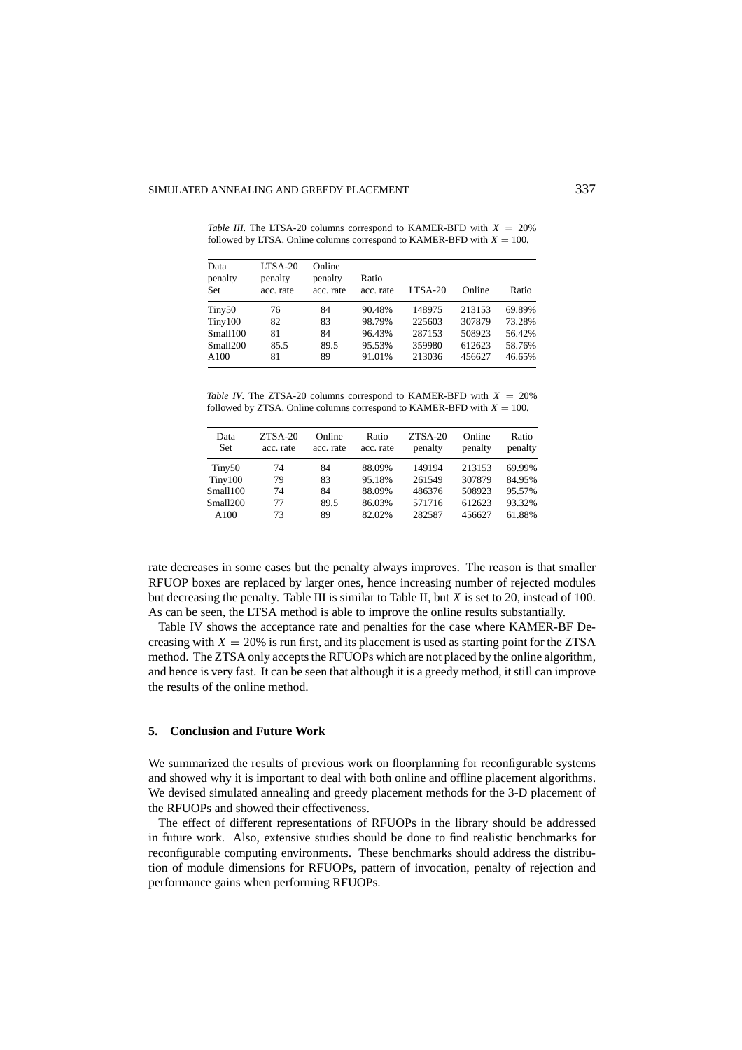*Table III.* The LTSA-20 columns correspond to KAMER-BFD with  $X = 20\%$ followed by LTSA. Online columns correspond to KAMER-BFD with  $X = 100$ .

| Data<br>penalty<br>Set | LTSA-20<br>penalty<br>acc. rate | Online<br>penalty<br>acc. rate | Ratio<br>acc. rate | $LTSA-20$ | Online | Ratio  |
|------------------------|---------------------------------|--------------------------------|--------------------|-----------|--------|--------|
| Tiny <sub>50</sub>     | 76                              | 84                             | 90.48%             | 148975    | 213153 | 69.89% |
| Tiny100                | 82                              | 83                             | 98.79%             | 225603    | 307879 | 73.28% |
| Small100               | 81                              | 84                             | 96.43%             | 287153    | 508923 | 56.42% |
| Small200               | 85.5                            | 89.5                           | 95.53%             | 359980    | 612623 | 58.76% |
| A100                   | 81                              | 89                             | 91.01%             | 213036    | 456627 | 46.65% |

*Table IV.* The ZTSA-20 columns correspond to KAMER-BFD with  $X = 20\%$ followed by ZTSA. Online columns correspond to KAMER-BFD with  $X = 100$ .

| Data               | $ZTSA-20$ | Online    | Ratio     | $ZTSA-20$ | Online  | Ratio   |
|--------------------|-----------|-----------|-----------|-----------|---------|---------|
| Set                | acc. rate | acc. rate | acc. rate | penalty   | penalty | penalty |
| Tiny <sub>50</sub> | 74        | 84        | 88.09%    | 149194    | 213153  | 69.99%  |
| Tiny100            | 79        | 83        | 95.18%    | 261549    | 307879  | 84.95%  |
| Small100           | 74        | 84        | 88.09%    | 486376    | 508923  | 95.57%  |
| Small200           | 77        | 89.5      | 86.03%    | 571716    | 612623  | 93.32%  |
| A100               | 73        | 89        | 82.02%    | 282587    | 456627  | 61.88%  |

rate decreases in some cases but the penalty always improves. The reason is that smaller RFUOP boxes are replaced by larger ones, hence increasing number of rejected modules but decreasing the penalty. Table III is similar to Table II, but *X* is set to 20, instead of 100. As can be seen, the LTSA method is able to improve the online results substantially.

Table IV shows the acceptance rate and penalties for the case where KAMER-BF Decreasing with  $X = 20\%$  is run first, and its placement is used as starting point for the ZTSA method. The ZTSA only accepts the RFUOPs which are not placed by the online algorithm, and hence is very fast. It can be seen that although it is a greedy method, it still can improve the results of the online method.

#### **5. Conclusion and Future Work**

We summarized the results of previous work on floorplanning for reconfigurable systems and showed why it is important to deal with both online and offline placement algorithms. We devised simulated annealing and greedy placement methods for the 3-D placement of the RFUOPs and showed their effectiveness.

The effect of different representations of RFUOPs in the library should be addressed in future work. Also, extensive studies should be done to find realistic benchmarks for reconfigurable computing environments. These benchmarks should address the distribution of module dimensions for RFUOPs, pattern of invocation, penalty of rejection and performance gains when performing RFUOPs.